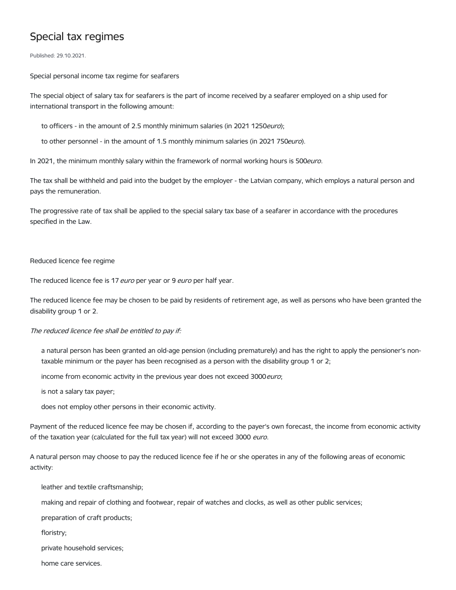## Special tax regimes

Published: 29.10.2021.

Special personal income tax regime for seafarers

The special object of salary tax for seafarers is the part of income received by a seafarer employed on a ship used for international transport in the following amount:

to officers - in the amount of 2.5 monthly minimum salaries (in 2021 1250euro);

to other personnel - in the amount of 1.5 monthly minimum salaries (in 2021 750euro).

In 2021, the minimum monthly salary within the framework of normal working hours is 500euro.

The tax shall be withheld and paid into the budget by the employer - the Latvian company, which employs a natural person and pays the remuneration.

The progressive rate of tax shall be applied to the special salary tax base of a seafarer in accordance with the procedures specified in the Law.

## Reduced licence fee regime

The reduced licence fee is 17 *euro* per year or 9 *euro* per half year.

The reduced licence fee may be chosen to be paid by residents of retirement age, as well as persons who have been granted the disability group 1 or 2.

## The reduced licence fee shall be entitled to pay if:

a natural person has been granted an old-age pension (including prematurely) and has the right to apply the pensioner's nontaxable minimum or the payer has been recognised as a person with the disability group 1 or 2;

income from economic activity in the previous year does not exceed 3000 euro;

is not a salary tax payer;

does not employ other persons in their economic activity.

Payment of the reduced licence fee may be chosen if, according to the payer's own forecast, the income from economic activity of the taxation year (calculated for the full tax year) will not exceed 3000 euro.

A natural person may choose to pay the reduced licence fee if he or she operates in any of the following areas of economic activity:

leather and textile craftsmanship;

making and repair of clothing and footwear, repair of watches and clocks, as well as other public services;

preparation of craft products;

floristry;

private household services;

home care services.